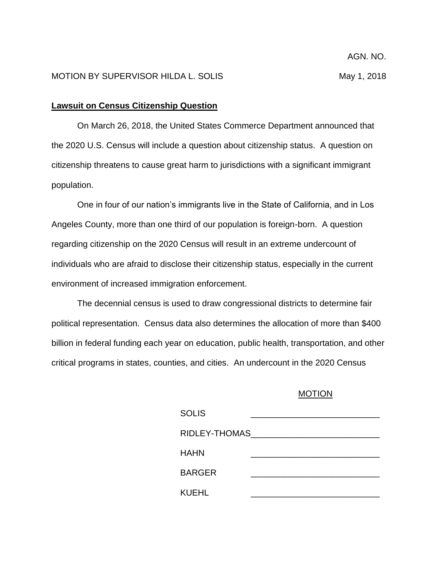## **Lawsuit on Census Citizenship Question**

On March 26, 2018, the United States Commerce Department announced that the 2020 U.S. Census will include a question about citizenship status. A question on citizenship threatens to cause great harm to jurisdictions with a significant immigrant population.

One in four of our nation's immigrants live in the State of California, and in Los Angeles County, more than one third of our population is foreign-born. A question regarding citizenship on the 2020 Census will result in an extreme undercount of individuals who are afraid to disclose their citizenship status, especially in the current environment of increased immigration enforcement.

The decennial census is used to draw congressional districts to determine fair political representation. Census data also determines the allocation of more than \$400 billion in federal funding each year on education, public health, transportation, and other critical programs in states, counties, and cities. An undercount in the 2020 Census

## MOTION

| <b>SOLIS</b>   |  |
|----------------|--|
| RIDLEY-THOMAS_ |  |
| HAHN           |  |
| <b>BARGER</b>  |  |
| KUEHL          |  |